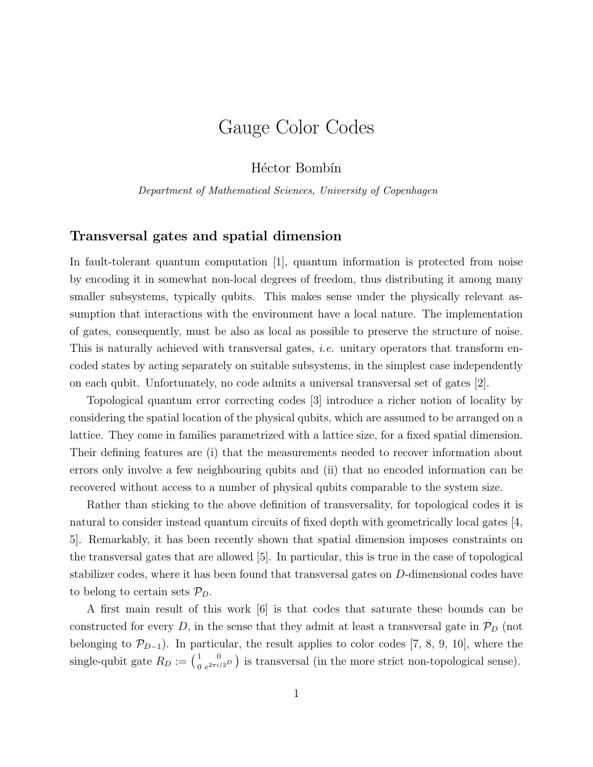# Gauge Color Codes

Héctor Bombín

Department of Mathematical Sciences, University of Copenhagen

## Transversal gates and spatial dimension

In fault-tolerant quantum computation [1], quantum information is protected from noise by encoding it in somewhat non-local degrees of freedom, thus distributing it among many smaller subsystems, typically qubits. This makes sense under the physically relevant assumption that interactions with the environment have a local nature. The implementation of gates, consequently, must be also as local as possible to preserve the structure of noise. This is naturally achieved with transversal gates, *i.e.* unitary operators that transform encoded states by acting separately on suitable subsystems, in the simplest case independently on each qubit. Unfortunately, no code admits a universal transversal set of gates [2].

Topological quantum error correcting codes [3] introduce a richer notion of locality by considering the spatial location of the physical qubits, which are assumed to be arranged on a lattice. They come in families parametrized with a lattice size, for a fixed spatial dimension. Their defining features are (i) that the measurements needed to recover information about errors only involve a few neighbouring qubits and (ii) that no encoded information can be recovered without access to a number of physical qubits comparable to the system size.

Rather than sticking to the above definition of transversality, for topological codes it is natural to consider instead quantum circuits of fixed depth with geometrically local gates [4, 5]. Remarkably, it has been recently shown that spatial dimension imposes constraints on the transversal gates that are allowed [5]. In particular, this is true in the case of topological stabilizer codes, where it has been found that transversal gates on D-dimensional codes have to belong to certain sets  $\mathcal{P}_D$ .

A first main result of this work [6] is that codes that saturate these bounds can be constructed for every D, in the sense that they admit at least a transversal gate in  $\mathcal{P}_D$  (not belonging to  $\mathcal{P}_{D-1}$ ). In particular, the result applies to color codes [7, 8, 9, 10], where the single-qubit gate  $R_D := \begin{pmatrix} 1 & 0 \\ 0 & e^{2\pi i/2D} \end{pmatrix}$  is transversal (in the more strict non-topological sense).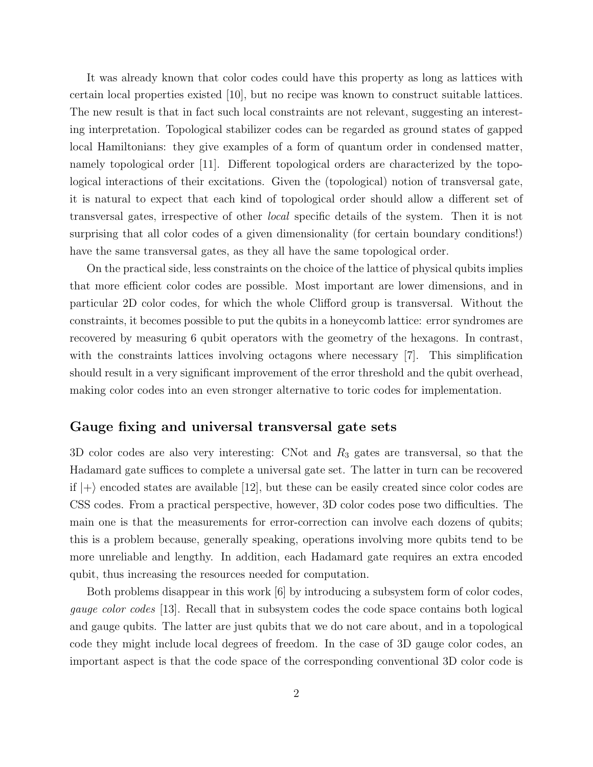It was already known that color codes could have this property as long as lattices with certain local properties existed [10], but no recipe was known to construct suitable lattices. The new result is that in fact such local constraints are not relevant, suggesting an interesting interpretation. Topological stabilizer codes can be regarded as ground states of gapped local Hamiltonians: they give examples of a form of quantum order in condensed matter, namely topological order [11]. Different topological orders are characterized by the topological interactions of their excitations. Given the (topological) notion of transversal gate, it is natural to expect that each kind of topological order should allow a different set of transversal gates, irrespective of other local specific details of the system. Then it is not surprising that all color codes of a given dimensionality (for certain boundary conditions!) have the same transversal gates, as they all have the same topological order.

On the practical side, less constraints on the choice of the lattice of physical qubits implies that more efficient color codes are possible. Most important are lower dimensions, and in particular 2D color codes, for which the whole Clifford group is transversal. Without the constraints, it becomes possible to put the qubits in a honeycomb lattice: error syndromes are recovered by measuring 6 qubit operators with the geometry of the hexagons. In contrast, with the constraints lattices involving octagons where necessary [7]. This simplification should result in a very significant improvement of the error threshold and the qubit overhead, making color codes into an even stronger alternative to toric codes for implementation.

#### Gauge fixing and universal transversal gate sets

3D color codes are also very interesting: CNot and  $R_3$  gates are transversal, so that the Hadamard gate suffices to complete a universal gate set. The latter in turn can be recovered if  $|+\rangle$  encoded states are available [12], but these can be easily created since color codes are CSS codes. From a practical perspective, however, 3D color codes pose two difficulties. The main one is that the measurements for error-correction can involve each dozens of qubits; this is a problem because, generally speaking, operations involving more qubits tend to be more unreliable and lengthy. In addition, each Hadamard gate requires an extra encoded qubit, thus increasing the resources needed for computation.

Both problems disappear in this work [6] by introducing a subsystem form of color codes, gauge color codes [13]. Recall that in subsystem codes the code space contains both logical and gauge qubits. The latter are just qubits that we do not care about, and in a topological code they might include local degrees of freedom. In the case of 3D gauge color codes, an important aspect is that the code space of the corresponding conventional 3D color code is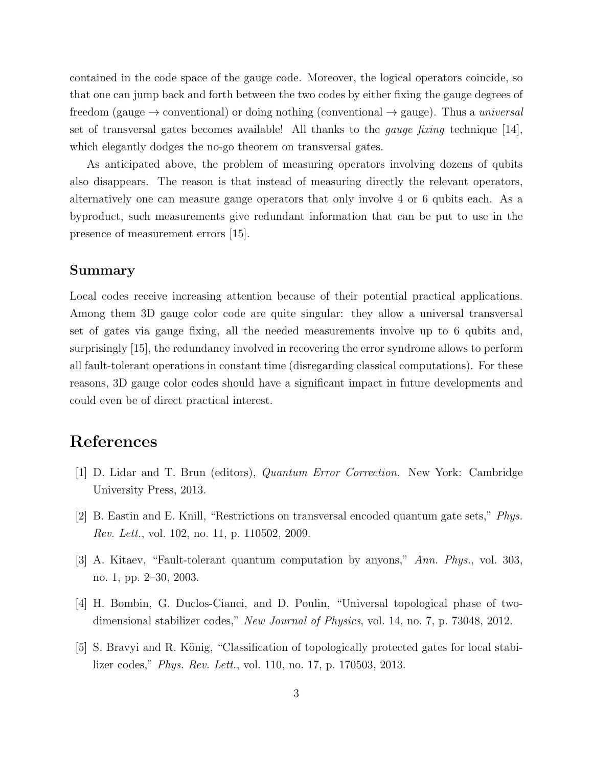contained in the code space of the gauge code. Moreover, the logical operators coincide, so that one can jump back and forth between the two codes by either fixing the gauge degrees of freedom (gauge  $\rightarrow$  conventional) or doing nothing (conventional  $\rightarrow$  gauge). Thus a *universal* set of transversal gates becomes available! All thanks to the *gauge fixing* technique  $[14]$ , which elegantly dodges the no-go theorem on transversal gates.

As anticipated above, the problem of measuring operators involving dozens of qubits also disappears. The reason is that instead of measuring directly the relevant operators, alternatively one can measure gauge operators that only involve 4 or 6 qubits each. As a byproduct, such measurements give redundant information that can be put to use in the presence of measurement errors [15].

## Summary

Local codes receive increasing attention because of their potential practical applications. Among them 3D gauge color code are quite singular: they allow a universal transversal set of gates via gauge fixing, all the needed measurements involve up to 6 qubits and, surprisingly [15], the redundancy involved in recovering the error syndrome allows to perform all fault-tolerant operations in constant time (disregarding classical computations). For these reasons, 3D gauge color codes should have a significant impact in future developments and could even be of direct practical interest.

# References

- [1] D. Lidar and T. Brun (editors), Quantum Error Correction. New York: Cambridge University Press, 2013.
- [2] B. Eastin and E. Knill, "Restrictions on transversal encoded quantum gate sets," Phys. Rev. Lett., vol. 102, no. 11, p. 110502, 2009.
- [3] A. Kitaev, "Fault-tolerant quantum computation by anyons," Ann. Phys., vol. 303, no. 1, pp. 2–30, 2003.
- [4] H. Bombin, G. Duclos-Cianci, and D. Poulin, "Universal topological phase of twodimensional stabilizer codes," New Journal of Physics, vol. 14, no. 7, p. 73048, 2012.
- [5] S. Bravyi and R. König, "Classification of topologically protected gates for local stabilizer codes," Phys. Rev. Lett., vol. 110, no. 17, p. 170503, 2013.